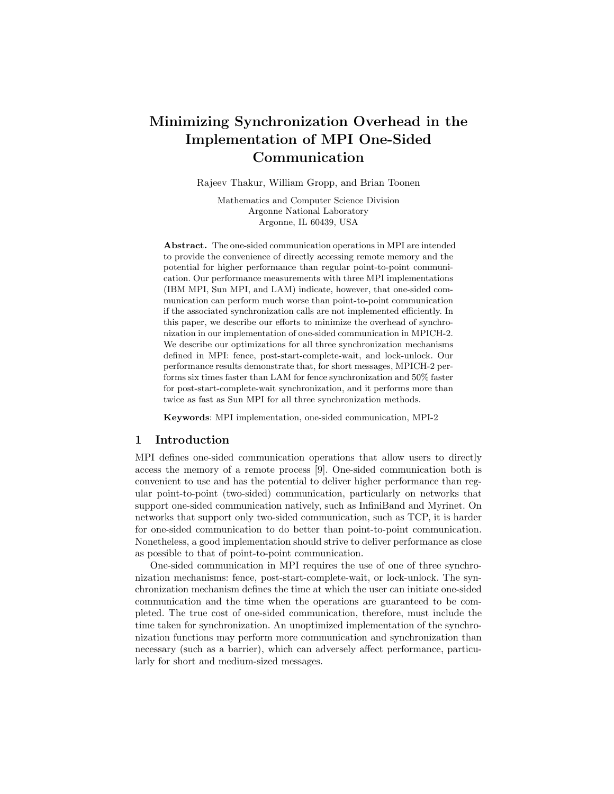# Minimizing Synchronization Overhead in the Implementation of MPI One-Sided Communication

Rajeev Thakur, William Gropp, and Brian Toonen

Mathematics and Computer Science Division Argonne National Laboratory Argonne, IL 60439, USA

Abstract. The one-sided communication operations in MPI are intended to provide the convenience of directly accessing remote memory and the potential for higher performance than regular point-to-point communication. Our performance measurements with three MPI implementations (IBM MPI, Sun MPI, and LAM) indicate, however, that one-sided communication can perform much worse than point-to-point communication if the associated synchronization calls are not implemented efficiently. In this paper, we describe our efforts to minimize the overhead of synchronization in our implementation of one-sided communication in MPICH-2. We describe our optimizations for all three synchronization mechanisms defined in MPI: fence, post-start-complete-wait, and lock-unlock. Our performance results demonstrate that, for short messages, MPICH-2 performs six times faster than LAM for fence synchronization and 50% faster for post-start-complete-wait synchronization, and it performs more than twice as fast as Sun MPI for all three synchronization methods.

Keywords: MPI implementation, one-sided communication, MPI-2

## 1 Introduction

MPI defines one-sided communication operations that allow users to directly access the memory of a remote process [9]. One-sided communication both is convenient to use and has the potential to deliver higher performance than regular point-to-point (two-sided) communication, particularly on networks that support one-sided communication natively, such as InfiniBand and Myrinet. On networks that support only two-sided communication, such as TCP, it is harder for one-sided communication to do better than point-to-point communication. Nonetheless, a good implementation should strive to deliver performance as close as possible to that of point-to-point communication.

One-sided communication in MPI requires the use of one of three synchronization mechanisms: fence, post-start-complete-wait, or lock-unlock. The synchronization mechanism defines the time at which the user can initiate one-sided communication and the time when the operations are guaranteed to be completed. The true cost of one-sided communication, therefore, must include the time taken for synchronization. An unoptimized implementation of the synchronization functions may perform more communication and synchronization than necessary (such as a barrier), which can adversely affect performance, particularly for short and medium-sized messages.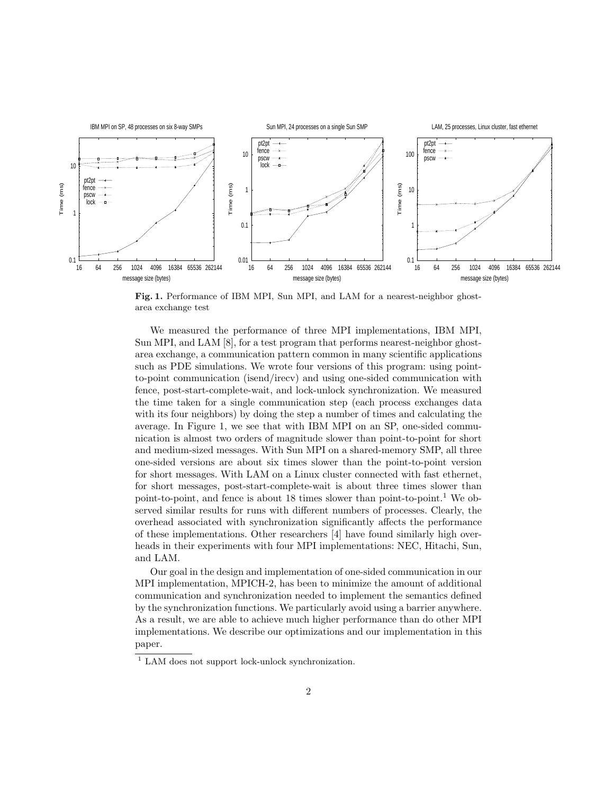

Fig. 1. Performance of IBM MPI, Sun MPI, and LAM for a nearest-neighbor ghostarea exchange test

We measured the performance of three MPI implementations, IBM MPI, Sun MPI, and LAM [8], for a test program that performs nearest-neighbor ghostarea exchange, a communication pattern common in many scientific applications such as PDE simulations. We wrote four versions of this program: using pointto-point communication (isend/irecv) and using one-sided communication with fence, post-start-complete-wait, and lock-unlock synchronization. We measured the time taken for a single communication step (each process exchanges data with its four neighbors) by doing the step a number of times and calculating the average. In Figure 1, we see that with IBM MPI on an SP, one-sided communication is almost two orders of magnitude slower than point-to-point for short and medium-sized messages. With Sun MPI on a shared-memory SMP, all three one-sided versions are about six times slower than the point-to-point version for short messages. With LAM on a Linux cluster connected with fast ethernet, for short messages, post-start-complete-wait is about three times slower than point-to-point, and fence is about 18 times slower than point-to-point.<sup>1</sup> We observed similar results for runs with different numbers of processes. Clearly, the overhead associated with synchronization significantly affects the performance of these implementations. Other researchers [4] have found similarly high overheads in their experiments with four MPI implementations: NEC, Hitachi, Sun, and LAM.

Our goal in the design and implementation of one-sided communication in our MPI implementation, MPICH-2, has been to minimize the amount of additional communication and synchronization needed to implement the semantics defined by the synchronization functions. We particularly avoid using a barrier anywhere. As a result, we are able to achieve much higher performance than do other MPI implementations. We describe our optimizations and our implementation in this paper.

 $^{\rm 1}$  LAM does not support lock-unlock synchronization.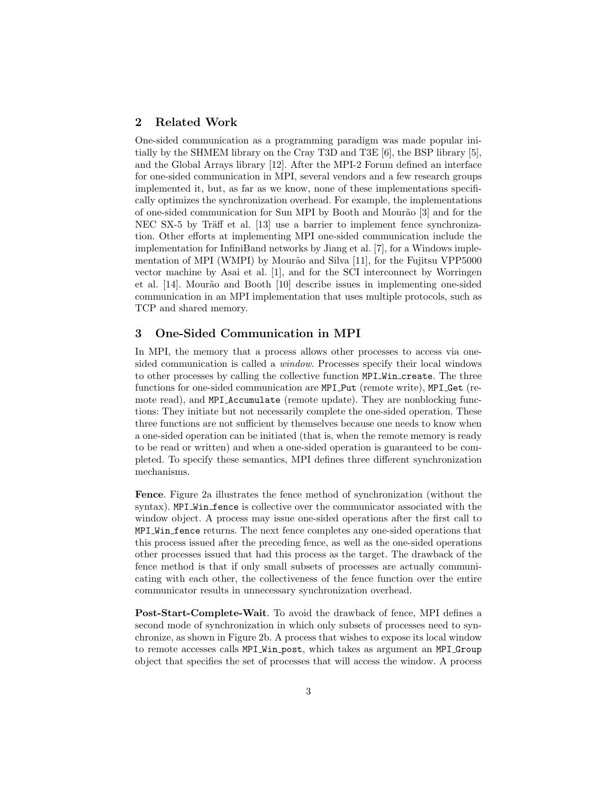# 2 Related Work

One-sided communication as a programming paradigm was made popular initially by the SHMEM library on the Cray T3D and T3E [6], the BSP library [5], and the Global Arrays library [12]. After the MPI-2 Forum defined an interface for one-sided communication in MPI, several vendors and a few research groups implemented it, but, as far as we know, none of these implementations specifically optimizes the synchronization overhead. For example, the implementations of one-sided communication for Sun MPI by Booth and Mourão [3] and for the NEC SX-5 by Träff et al.  $[13]$  use a barrier to implement fence synchronization. Other efforts at implementing MPI one-sided communication include the implementation for InfiniBand networks by Jiang et al. [7], for a Windows implementation of MPI (WMPI) by Mourão and Silva [11], for the Fujitsu VPP5000 vector machine by Asai et al. [1], and for the SCI interconnect by Worringen et al. [14]. Mour˜ao and Booth [10] describe issues in implementing one-sided communication in an MPI implementation that uses multiple protocols, such as TCP and shared memory.

## 3 One-Sided Communication in MPI

In MPI, the memory that a process allows other processes to access via onesided communication is called a window. Processes specify their local windows to other processes by calling the collective function MPI Win create. The three functions for one-sided communication are MPI Put (remote write), MPI Get (remote read), and MPI Accumulate (remote update). They are nonblocking functions: They initiate but not necessarily complete the one-sided operation. These three functions are not sufficient by themselves because one needs to know when a one-sided operation can be initiated (that is, when the remote memory is ready to be read or written) and when a one-sided operation is guaranteed to be completed. To specify these semantics, MPI defines three different synchronization mechanisms.

Fence. Figure 2a illustrates the fence method of synchronization (without the syntax). MPI Win fence is collective over the communicator associated with the window object. A process may issue one-sided operations after the first call to MPI Win fence returns. The next fence completes any one-sided operations that this process issued after the preceding fence, as well as the one-sided operations other processes issued that had this process as the target. The drawback of the fence method is that if only small subsets of processes are actually communicating with each other, the collectiveness of the fence function over the entire communicator results in unnecessary synchronization overhead.

Post-Start-Complete-Wait. To avoid the drawback of fence, MPI defines a second mode of synchronization in which only subsets of processes need to synchronize, as shown in Figure 2b. A process that wishes to expose its local window to remote accesses calls MPI Win post, which takes as argument an MPI Group object that specifies the set of processes that will access the window. A process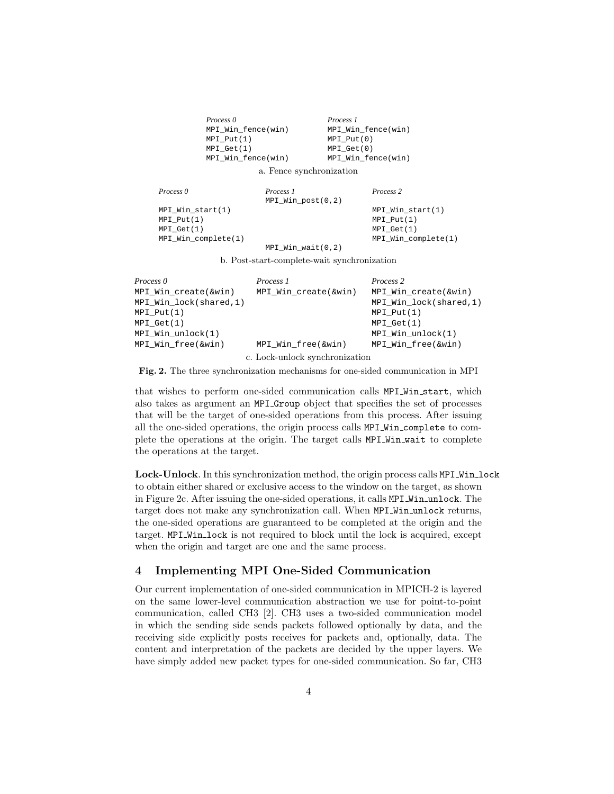```
Process 0 Process 1
MPI_Win_fence(win)
MPI_Put(1)
MPI_Get(1)
MPI_Win_fence(win)
                         MPI_Win_fence(win)
                         MPI_Put(0)
                         MPI_Get(0)
                         MPI_Win_fence(win)
           a. Fence synchronization
```

| Process <sub>0</sub>  | Process 1             | Process <sub>2</sub>     |
|-----------------------|-----------------------|--------------------------|
|                       | MPI Win $post(0, 2)$  |                          |
| $MPI$ Win start $(1)$ |                       | MPI Win $start(1)$       |
| MPI Put (1)           |                       | MPI Put(1)               |
| MPI Get(1)            |                       | MPI Get(1)               |
| MPI_Win_complete(1)   |                       | $MPI$ Win complete $(1)$ |
|                       | MPI Win wait $(0, 2)$ |                          |

b. Post-start-complete-wait synchronization

| Process <sub>0</sub>           | Process 1            | Process <sub>2</sub>    |  |  |
|--------------------------------|----------------------|-------------------------|--|--|
| MPI Win create(&win)           | MPI Win create(&win) | MPI Win_create(&win)    |  |  |
| MPI Win lock(shared, 1)        |                      | MPI Win lock(shared, 1) |  |  |
| MPI Put (1)                    |                      | MPI Put (1)             |  |  |
| MPI Get(1)                     |                      | MPI Get(1)              |  |  |
| MPI Win $unlock(1)$            |                      | $MPI$ Win unlock $(1)$  |  |  |
| MPI Win free(&win)             | MPI Win free(&win)   | MPI Win free(&win)      |  |  |
| c. Lock-unlock synchronization |                      |                         |  |  |

Fig. 2. The three synchronization mechanisms for one-sided communication in MPI

that wishes to perform one-sided communication calls MPI Win start, which also takes as argument an MPI Group object that specifies the set of processes that will be the target of one-sided operations from this process. After issuing all the one-sided operations, the origin process calls MPI Win complete to complete the operations at the origin. The target calls MPI Win wait to complete the operations at the target.

Lock-Unlock. In this synchronization method, the origin process calls MPI Win lock to obtain either shared or exclusive access to the window on the target, as shown in Figure 2c. After issuing the one-sided operations, it calls MPI Win unlock. The target does not make any synchronization call. When MPI Win unlock returns, the one-sided operations are guaranteed to be completed at the origin and the target. MPI Win lock is not required to block until the lock is acquired, except when the origin and target are one and the same process.

## 4 Implementing MPI One-Sided Communication

Our current implementation of one-sided communication in MPICH-2 is layered on the same lower-level communication abstraction we use for point-to-point communication, called CH3 [2]. CH3 uses a two-sided communication model in which the sending side sends packets followed optionally by data, and the receiving side explicitly posts receives for packets and, optionally, data. The content and interpretation of the packets are decided by the upper layers. We have simply added new packet types for one-sided communication. So far, CH3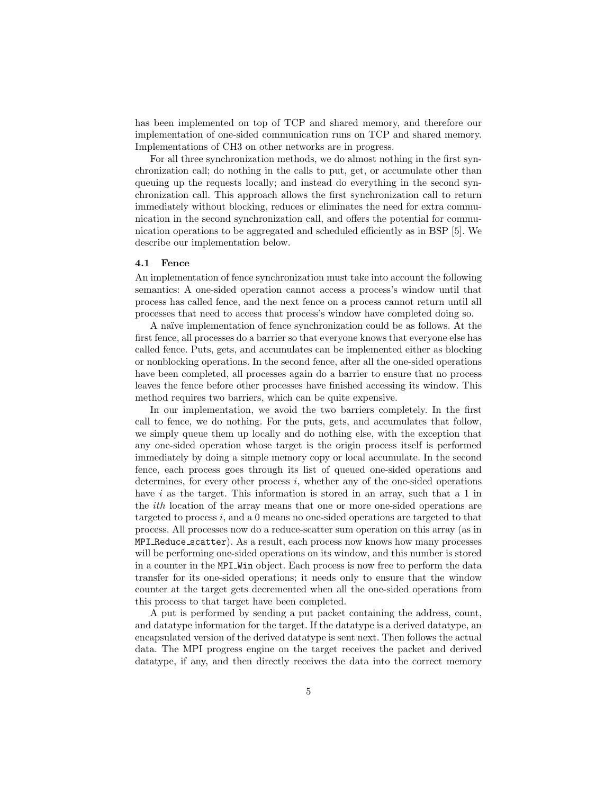has been implemented on top of TCP and shared memory, and therefore our implementation of one-sided communication runs on TCP and shared memory. Implementations of CH3 on other networks are in progress.

For all three synchronization methods, we do almost nothing in the first synchronization call; do nothing in the calls to put, get, or accumulate other than queuing up the requests locally; and instead do everything in the second synchronization call. This approach allows the first synchronization call to return immediately without blocking, reduces or eliminates the need for extra communication in the second synchronization call, and offers the potential for communication operations to be aggregated and scheduled efficiently as in BSP [5]. We describe our implementation below.

## 4.1 Fence

An implementation of fence synchronization must take into account the following semantics: A one-sided operation cannot access a process's window until that process has called fence, and the next fence on a process cannot return until all processes that need to access that process's window have completed doing so.

A na¨ıve implementation of fence synchronization could be as follows. At the first fence, all processes do a barrier so that everyone knows that everyone else has called fence. Puts, gets, and accumulates can be implemented either as blocking or nonblocking operations. In the second fence, after all the one-sided operations have been completed, all processes again do a barrier to ensure that no process leaves the fence before other processes have finished accessing its window. This method requires two barriers, which can be quite expensive.

In our implementation, we avoid the two barriers completely. In the first call to fence, we do nothing. For the puts, gets, and accumulates that follow, we simply queue them up locally and do nothing else, with the exception that any one-sided operation whose target is the origin process itself is performed immediately by doing a simple memory copy or local accumulate. In the second fence, each process goes through its list of queued one-sided operations and determines, for every other process  $i$ , whether any of the one-sided operations have i as the target. This information is stored in an array, such that a 1 in the ith location of the array means that one or more one-sided operations are targeted to process  $i$ , and a 0 means no one-sided operations are targeted to that process. All processes now do a reduce-scatter sum operation on this array (as in MPI Reduce scatter). As a result, each process now knows how many processes will be performing one-sided operations on its window, and this number is stored in a counter in the MPI Win object. Each process is now free to perform the data transfer for its one-sided operations; it needs only to ensure that the window counter at the target gets decremented when all the one-sided operations from this process to that target have been completed.

A put is performed by sending a put packet containing the address, count, and datatype information for the target. If the datatype is a derived datatype, an encapsulated version of the derived datatype is sent next. Then follows the actual data. The MPI progress engine on the target receives the packet and derived datatype, if any, and then directly receives the data into the correct memory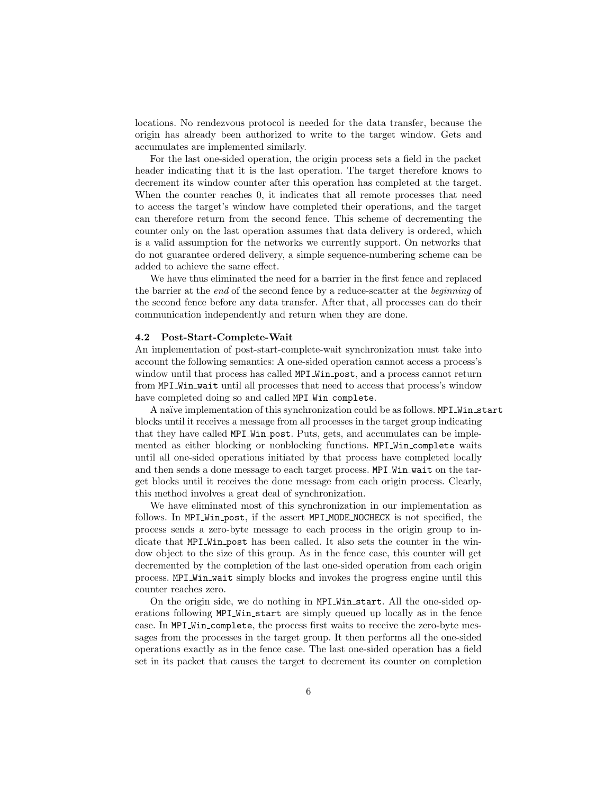locations. No rendezvous protocol is needed for the data transfer, because the origin has already been authorized to write to the target window. Gets and accumulates are implemented similarly.

For the last one-sided operation, the origin process sets a field in the packet header indicating that it is the last operation. The target therefore knows to decrement its window counter after this operation has completed at the target. When the counter reaches 0, it indicates that all remote processes that need to access the target's window have completed their operations, and the target can therefore return from the second fence. This scheme of decrementing the counter only on the last operation assumes that data delivery is ordered, which is a valid assumption for the networks we currently support. On networks that do not guarantee ordered delivery, a simple sequence-numbering scheme can be added to achieve the same effect.

We have thus eliminated the need for a barrier in the first fence and replaced the barrier at the end of the second fence by a reduce-scatter at the beginning of the second fence before any data transfer. After that, all processes can do their communication independently and return when they are done.

#### 4.2 Post-Start-Complete-Wait

An implementation of post-start-complete-wait synchronization must take into account the following semantics: A one-sided operation cannot access a process's window until that process has called MPI Win post, and a process cannot return from MPI Win wait until all processes that need to access that process's window have completed doing so and called MPI\_Win\_complete.

A naïve implementation of this synchronization could be as follows. MPI Win start blocks until it receives a message from all processes in the target group indicating that they have called MPI Win post. Puts, gets, and accumulates can be implemented as either blocking or nonblocking functions. MPI Win complete waits until all one-sided operations initiated by that process have completed locally and then sends a done message to each target process. MPI Win wait on the target blocks until it receives the done message from each origin process. Clearly, this method involves a great deal of synchronization.

We have eliminated most of this synchronization in our implementation as follows. In MPI Win post, if the assert MPI MODE NOCHECK is not specified, the process sends a zero-byte message to each process in the origin group to indicate that MPI Win post has been called. It also sets the counter in the window object to the size of this group. As in the fence case, this counter will get decremented by the completion of the last one-sided operation from each origin process. MPI Win wait simply blocks and invokes the progress engine until this counter reaches zero.

On the origin side, we do nothing in MPI Win start. All the one-sided operations following MPI Win start are simply queued up locally as in the fence case. In MPI Win complete, the process first waits to receive the zero-byte messages from the processes in the target group. It then performs all the one-sided operations exactly as in the fence case. The last one-sided operation has a field set in its packet that causes the target to decrement its counter on completion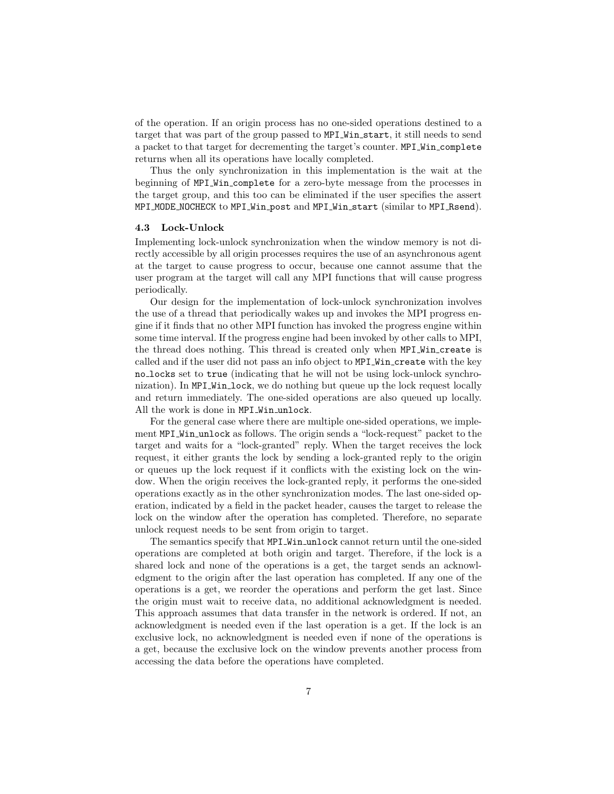of the operation. If an origin process has no one-sided operations destined to a target that was part of the group passed to MPI Win start, it still needs to send a packet to that target for decrementing the target's counter. MPI Win complete returns when all its operations have locally completed.

Thus the only synchronization in this implementation is the wait at the beginning of MPI Win complete for a zero-byte message from the processes in the target group, and this too can be eliminated if the user specifies the assert MPI MODE NOCHECK to MPI Win post and MPI Win start (similar to MPI Rsend).

### 4.3 Lock-Unlock

Implementing lock-unlock synchronization when the window memory is not directly accessible by all origin processes requires the use of an asynchronous agent at the target to cause progress to occur, because one cannot assume that the user program at the target will call any MPI functions that will cause progress periodically.

Our design for the implementation of lock-unlock synchronization involves the use of a thread that periodically wakes up and invokes the MPI progress engine if it finds that no other MPI function has invoked the progress engine within some time interval. If the progress engine had been invoked by other calls to MPI, the thread does nothing. This thread is created only when MPI Win create is called and if the user did not pass an info object to MPI Win create with the key no locks set to true (indicating that he will not be using lock-unlock synchronization). In MPI Win lock, we do nothing but queue up the lock request locally and return immediately. The one-sided operations are also queued up locally. All the work is done in MPI Win unlock.

For the general case where there are multiple one-sided operations, we implement MPI Win unlock as follows. The origin sends a "lock-request" packet to the target and waits for a "lock-granted" reply. When the target receives the lock request, it either grants the lock by sending a lock-granted reply to the origin or queues up the lock request if it conflicts with the existing lock on the window. When the origin receives the lock-granted reply, it performs the one-sided operations exactly as in the other synchronization modes. The last one-sided operation, indicated by a field in the packet header, causes the target to release the lock on the window after the operation has completed. Therefore, no separate unlock request needs to be sent from origin to target.

The semantics specify that MPI Win unlock cannot return until the one-sided operations are completed at both origin and target. Therefore, if the lock is a shared lock and none of the operations is a get, the target sends an acknowledgment to the origin after the last operation has completed. If any one of the operations is a get, we reorder the operations and perform the get last. Since the origin must wait to receive data, no additional acknowledgment is needed. This approach assumes that data transfer in the network is ordered. If not, an acknowledgment is needed even if the last operation is a get. If the lock is an exclusive lock, no acknowledgment is needed even if none of the operations is a get, because the exclusive lock on the window prevents another process from accessing the data before the operations have completed.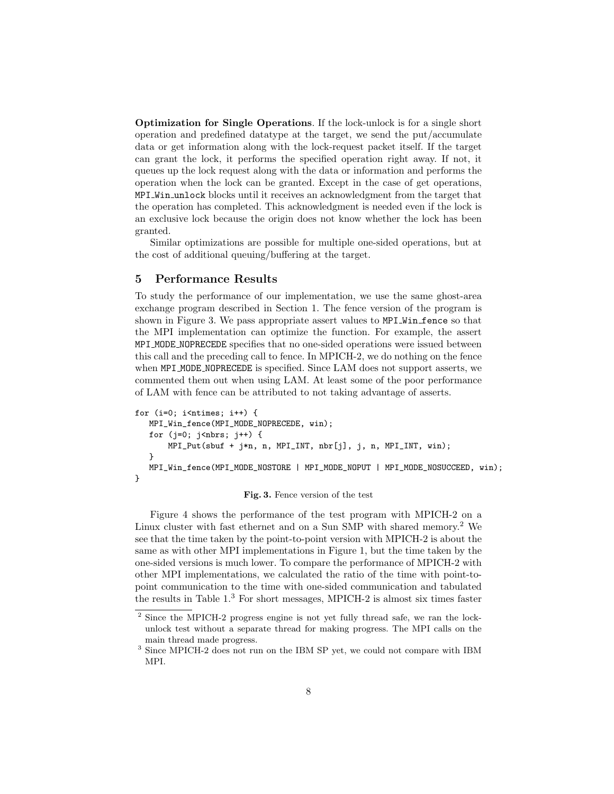Optimization for Single Operations. If the lock-unlock is for a single short operation and predefined datatype at the target, we send the put/accumulate data or get information along with the lock-request packet itself. If the target can grant the lock, it performs the specified operation right away. If not, it queues up the lock request along with the data or information and performs the operation when the lock can be granted. Except in the case of get operations, MPI Win unlock blocks until it receives an acknowledgment from the target that the operation has completed. This acknowledgment is needed even if the lock is an exclusive lock because the origin does not know whether the lock has been granted.

Similar optimizations are possible for multiple one-sided operations, but at the cost of additional queuing/buffering at the target.

## 5 Performance Results

To study the performance of our implementation, we use the same ghost-area exchange program described in Section 1. The fence version of the program is shown in Figure 3. We pass appropriate assert values to MPI Win fence so that the MPI implementation can optimize the function. For example, the assert MPI MODE NOPRECEDE specifies that no one-sided operations were issued between this call and the preceding call to fence. In MPICH-2, we do nothing on the fence when MPI MODE NOPRECEDE is specified. Since LAM does not support asserts, we commented them out when using LAM. At least some of the poor performance of LAM with fence can be attributed to not taking advantage of asserts.

```
for (i=0; i sntimes; i++) {
   MPI_Win_fence(MPI_MODE_NOPRECEDE, win);
   for (j=0; j<nbrs; j++) {
       MPI_Put(sbuf + j*n, n, MPI_INT, nbr[j], j, n, MPI_INT, win);
   }
   MPI_Win_fence(MPI_MODE_NOSTORE | MPI_MODE_NOPUT | MPI_MODE_NOSUCCEED, win);
}
```
## Fig. 3. Fence version of the test

Figure 4 shows the performance of the test program with MPICH-2 on a Linux cluster with fast ethernet and on a Sun SMP with shared memory.<sup>2</sup> We see that the time taken by the point-to-point version with MPICH-2 is about the same as with other MPI implementations in Figure 1, but the time taken by the one-sided versions is much lower. To compare the performance of MPICH-2 with other MPI implementations, we calculated the ratio of the time with point-topoint communication to the time with one-sided communication and tabulated the results in Table 1.<sup>3</sup> For short messages, MPICH-2 is almost six times faster

<sup>&</sup>lt;sup>2</sup> Since the MPICH-2 progress engine is not yet fully thread safe, we ran the lockunlock test without a separate thread for making progress. The MPI calls on the main thread made progress.

 $^3$  Since MPICH-2 does not run on the IBM SP yet, we could not compare with IBM  $\,$ MPI.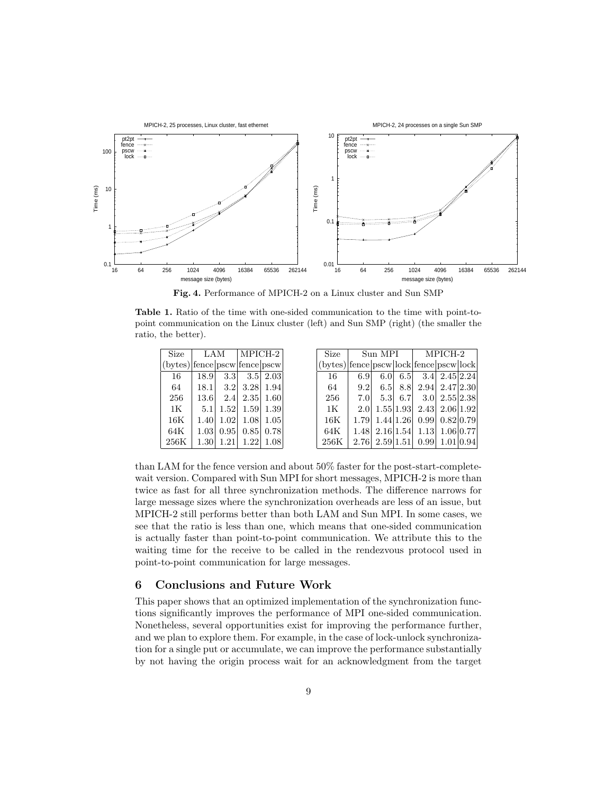

Fig. 4. Performance of MPICH-2 on a Linux cluster and Sun SMP

Table 1. Ratio of the time with one-sided communication to the time with point-topoint communication on the Linux cluster (left) and Sun SMP (right) (the smaller the ratio, the better).

| Size                          | LAM  |      | $MPICH-2$ |          |
|-------------------------------|------|------|-----------|----------|
| (bytes) fence pscw fence pscw |      |      |           |          |
| 16                            | 18.9 | 3.3  |           | 3.5 2.03 |
| 64                            | 18.1 | 3.2  | 3.28      | 1.94     |
| 256                           | 13.6 | 2.4  | 2.35      | 1.60     |
| 1 <sub>K</sub>                | 5.1  | 1.52 | 1.59      | 1.39     |
| 16K                           | 1.40 | 1.02 | 1.08      | 1.05     |
| 64K                           | 1.03 | 0.95 | 0.85      | 0.78     |
| 256K                          | 1.30 | 1.21 | 1.22      | 1.08     |

| Size                                                                | Sun MPI |  |  | $\mid$ MPICH-2                                      |  |  |
|---------------------------------------------------------------------|---------|--|--|-----------------------------------------------------|--|--|
| $(bytes) \text{fence} pscw \text{lock} $ fence $ pscw \text{lock} $ |         |  |  |                                                     |  |  |
| 16                                                                  | 6.9     |  |  | 6.0 6.5 3.4 2.45 2.24                               |  |  |
| 64                                                                  | 9.2     |  |  | 6.5 8.8 2.94 2.47 2.30                              |  |  |
| 256                                                                 | 7.0     |  |  | $5.3$ 6.7 $3.0$ 2.55 2.38                           |  |  |
| 1 <sub>K</sub>                                                      | 2.0     |  |  | $1.55 1.93 $ 2.43 2.06 1.92                         |  |  |
| 16K                                                                 |         |  |  | $1.79$ 1.44 1.26 0.99 0.82 0.79                     |  |  |
| 64K                                                                 |         |  |  | $1.48$   $2.16$   $1.54$   $1.13$   $1.06$   $0.77$ |  |  |
| 256K                                                                |         |  |  | $2.76$ $2.59$ $1.51$ $0.99$ $1.01$ $0.94$           |  |  |

than LAM for the fence version and about 50% faster for the post-start-completewait version. Compared with Sun MPI for short messages, MPICH-2 is more than twice as fast for all three synchronization methods. The difference narrows for large message sizes where the synchronization overheads are less of an issue, but MPICH-2 still performs better than both LAM and Sun MPI. In some cases, we see that the ratio is less than one, which means that one-sided communication is actually faster than point-to-point communication. We attribute this to the waiting time for the receive to be called in the rendezvous protocol used in point-to-point communication for large messages.

# 6 Conclusions and Future Work

This paper shows that an optimized implementation of the synchronization functions significantly improves the performance of MPI one-sided communication. Nonetheless, several opportunities exist for improving the performance further, and we plan to explore them. For example, in the case of lock-unlock synchronization for a single put or accumulate, we can improve the performance substantially by not having the origin process wait for an acknowledgment from the target